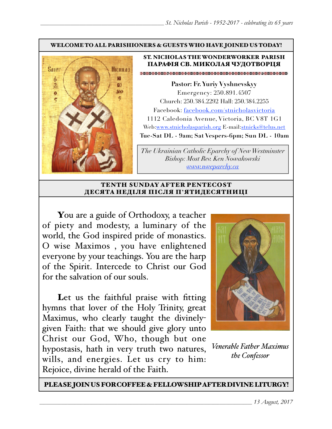#### WELCOME TO ALL PARISHIONERS & GUESTS WHO HAVE JOINED US TODAY!



## ST. NICHOLAS THE WONDERWORKER PARISH ПАРАФІЯ СВ. МИКОЛАЯ ЧУДОТВОРЦЯ

**Pastor: Fr. Yuriy Vyshnevskyy** Emergency: 250.891.4507 Church: 250.384.2292 Hall: 250.384.2255 Facebook: facebook.com/stnicholasvictoria 1112 Caledonia Avenue, Victoria, BC V8T 1G1 Web[:www.stnicholasparish.org](http://www.stnicholasparish.org) E-mail:[stnicks@telus.net](mailto:stnicks@telus.net) **Tue-Sat DL - 9am; Sat Vespers-6pm; Sun DL - 10am**

*The Ukrainian Catholic Eparchy of New Westminster Bishop: Most Rev. Ken Nowakowski [www.nweparchy.ca](http://www.nweparchy.ca)*

#### TENTH SUNDAY AFTER PENTECOST ДЕСЯТА НЕДІЛЯ ПІСЛЯ П**'**ЯТИДЕСЯТНИЦІ

You are a guide of Orthodoxy, a teacher of piety and modesty, a luminary of the world, the God inspired pride of monastics. O wise Maximos , you have enlightened everyone by your teachings. You are the harp of the Spirit. Intercede to Christ our God for the salvation of our souls.

Let us the faithful praise with fitting hymns that lover of the Holy Trinity, great Maximus, who clearly taught the divinelygiven Faith: that we should give glory unto Christ our God, Who, though but one hypostasis, hath in very truth two natures, wills, and energies. Let us cry to him: Rejoice, divine herald of the Faith.



*Venerable Father Maximus the Confessor*

PLEASE JOIN US FOR COFFEE & FELLOWSHIP AFTER DIVINE LITURGY!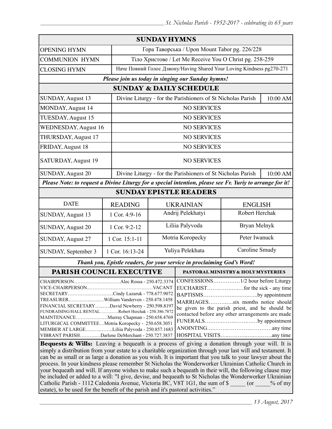|                                                                                                                                                                                                                                                                                                                                                                                                                                                                                                                                                                                                                                                                                                                                                                                                   |                 | <b>SUNDAY HYMNS</b>                                                   |                                                             |                                    |                |  |
|---------------------------------------------------------------------------------------------------------------------------------------------------------------------------------------------------------------------------------------------------------------------------------------------------------------------------------------------------------------------------------------------------------------------------------------------------------------------------------------------------------------------------------------------------------------------------------------------------------------------------------------------------------------------------------------------------------------------------------------------------------------------------------------------------|-----------------|-----------------------------------------------------------------------|-------------------------------------------------------------|------------------------------------|----------------|--|
| <b>OPENING HYMN</b>                                                                                                                                                                                                                                                                                                                                                                                                                                                                                                                                                                                                                                                                                                                                                                               |                 | Гора Таворська / Upon Mount Tabor pg. 226/228                         |                                                             |                                    |                |  |
| <b>COMMUNION HYMN</b>                                                                                                                                                                                                                                                                                                                                                                                                                                                                                                                                                                                                                                                                                                                                                                             |                 | Тіло Христове / Let Me Receive You O Christ pg. 258-259               |                                                             |                                    |                |  |
| <b>CLOSING HYMN</b>                                                                                                                                                                                                                                                                                                                                                                                                                                                                                                                                                                                                                                                                                                                                                                               |                 | Наче Повний Голос Дзвону/Having Shared Your Loving Kindness pg270-271 |                                                             |                                    |                |  |
|                                                                                                                                                                                                                                                                                                                                                                                                                                                                                                                                                                                                                                                                                                                                                                                                   |                 |                                                                       | Please join us today in singing our Sunday hymns!           |                                    |                |  |
| <b>SUNDAY &amp; DAILY SCHEDULE</b>                                                                                                                                                                                                                                                                                                                                                                                                                                                                                                                                                                                                                                                                                                                                                                |                 |                                                                       |                                                             |                                    |                |  |
| SUNDAY, August 13                                                                                                                                                                                                                                                                                                                                                                                                                                                                                                                                                                                                                                                                                                                                                                                 |                 | Divine Liturgy - for the Parishioners of St Nicholas Parish           |                                                             |                                    | 10:00 AM       |  |
| MONDAY, August 14                                                                                                                                                                                                                                                                                                                                                                                                                                                                                                                                                                                                                                                                                                                                                                                 |                 | <b>NO SERVICES</b>                                                    |                                                             |                                    |                |  |
| TUESDAY, August 15                                                                                                                                                                                                                                                                                                                                                                                                                                                                                                                                                                                                                                                                                                                                                                                |                 | <b>NO SERVICES</b>                                                    |                                                             |                                    |                |  |
| <b>WEDNESDAY, August 16</b>                                                                                                                                                                                                                                                                                                                                                                                                                                                                                                                                                                                                                                                                                                                                                                       |                 | <b>NO SERVICES</b>                                                    |                                                             |                                    |                |  |
| THURSDAY, August 17                                                                                                                                                                                                                                                                                                                                                                                                                                                                                                                                                                                                                                                                                                                                                                               |                 | <b>NO SERVICES</b>                                                    |                                                             |                                    |                |  |
| FRIDAY, August 18                                                                                                                                                                                                                                                                                                                                                                                                                                                                                                                                                                                                                                                                                                                                                                                 |                 | <b>NO SERVICES</b>                                                    |                                                             |                                    |                |  |
| SATURDAY, August 19                                                                                                                                                                                                                                                                                                                                                                                                                                                                                                                                                                                                                                                                                                                                                                               |                 | <b>NO SERVICES</b>                                                    |                                                             |                                    |                |  |
| SUNDAY, August 20                                                                                                                                                                                                                                                                                                                                                                                                                                                                                                                                                                                                                                                                                                                                                                                 |                 |                                                                       | Divine Liturgy - for the Parishioners of St Nicholas Parish |                                    | 10:00 AM       |  |
| Please Note: to request a Divine Liturgy for a special intention, please see Fr. Yuriy to arrange for it!                                                                                                                                                                                                                                                                                                                                                                                                                                                                                                                                                                                                                                                                                         |                 |                                                                       |                                                             |                                    |                |  |
| <b>SUNDAY EPISTLE READERS</b>                                                                                                                                                                                                                                                                                                                                                                                                                                                                                                                                                                                                                                                                                                                                                                     |                 |                                                                       |                                                             |                                    |                |  |
| <b>DATE</b>                                                                                                                                                                                                                                                                                                                                                                                                                                                                                                                                                                                                                                                                                                                                                                                       | <b>READING</b>  | <b>UKRAINIAN</b><br><b>ENGLISH</b>                                    |                                                             |                                    |                |  |
| SUNDAY, August 13                                                                                                                                                                                                                                                                                                                                                                                                                                                                                                                                                                                                                                                                                                                                                                                 | 1 Cor. 4:9-16   |                                                                       | Andrij Pelekhatyi                                           |                                    | Robert Herchak |  |
| <b>SUNDAY, August 20</b>                                                                                                                                                                                                                                                                                                                                                                                                                                                                                                                                                                                                                                                                                                                                                                          | 1 Cor. 9:2-12   |                                                                       | Liliia Palyvoda                                             |                                    | Bryan Melnyk   |  |
| SUNDAY, August 27                                                                                                                                                                                                                                                                                                                                                                                                                                                                                                                                                                                                                                                                                                                                                                                 | 1 Cor. 15:1-11  | Motria Koropecky                                                      |                                                             | Peter Iwanuck                      |                |  |
| SUNDAY, September 3                                                                                                                                                                                                                                                                                                                                                                                                                                                                                                                                                                                                                                                                                                                                                                               | 1 Cor. 16:13-24 | Caroline Smudy<br>Yuliya Pelekhata                                    |                                                             |                                    |                |  |
| Thank you, Epistle readers, for your service in proclaiming God's Word!                                                                                                                                                                                                                                                                                                                                                                                                                                                                                                                                                                                                                                                                                                                           |                 |                                                                       |                                                             |                                    |                |  |
| <b>PARISH COUNCIL EXECUTIVE</b>                                                                                                                                                                                                                                                                                                                                                                                                                                                                                                                                                                                                                                                                                                                                                                   |                 |                                                                       |                                                             | PASTORAL MINISTRY & HOLY MYSTERIES |                |  |
| CONFESSIONS1/2 hour before Liturgy<br>CHAIRPERSONAlec Rossa - 250.472.3374<br>SECRETARYCindy Lazaruk - 778.677.9072<br>BAPTISMSby appointment<br>TREASURERWilliam Vanderven - 250.478.1458<br>MARRIAGESsix months notice should<br>FINANCIAL SECRETARYDavid Newberry - 250.598.8197<br>be given to the parish priest, and he should be<br>FUNDRAISING/HALL RENTALRobert Herchak - 250.386.7872<br>contacted before any other arrangements are made<br>MAINTENANCEMurray Chapman - 250.658.4769<br>FUNERALSby appointment<br>LITURGICAL COMMITTEEMotria Koropecky - 250.658.3051<br>MEMBER AT LARGELiliia Palyvoda - 250.857.1683<br>VIBRANT PARISHDarlene DeMerchant - 250.727.3837<br><b>Bequests &amp; Wills:</b> Leaving a bequeath is a process of giving a donation through your will. It is |                 |                                                                       |                                                             |                                    |                |  |

simply a distribution from your estate to a charitable organization through your last will and testament. It can be as small or as large a donation as you wish. It is important that you talk to your lawyer about the process. In your kindness please remember St Nicholas the Wonderworker Ukrainian Catholic Church in your bequeath and will. If anyone wishes to make such a bequeath in their will, the following clause may be included or added to a will: "I give, devise, and bequeath to St Nicholas the Wonderworker Ukrainian Catholic Parish - 1112 Caledonia Avenue, Victoria BC, V8T 1G1, the sum of \$  $\qquad \qquad$  (or  $\qquad \qquad$  % of my estate), to be used for the benefit of the parish and it's pastoral activities."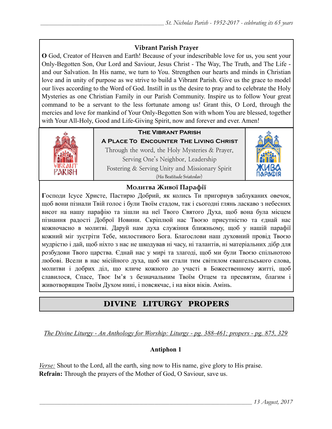# **Vibrant Parish Prayer**

**O** God, Creator of Heaven and Earth! Because of your indescribable love for us, you sent your Only-Begotten Son, Our Lord and Saviour, Jesus Christ - The Way, The Truth, and The Life and our Salvation. In His name, we turn to You. Strengthen our hearts and minds in Christian love and in unity of purpose as we strive to build a Vibrant Parish. Give us the grace to model our lives according to the Word of God. Instill in us the desire to pray and to celebrate the Holy Mysteries as one Christian Family in our Parish Community. Inspire us to follow Your great command to be a servant to the less fortunate among us! Grant this, O Lord, through the mercies and love for mankind of Your Only-Begotten Son with whom You are blessed, together with Your All-Holy, Good and Life-Giving Spirit, now and forever and ever. Amen!



# **The Vibrant Parish**

**A Place To Encounter The Living Christ** Through the word, the Holy Mysteries & Prayer, Serving One's Neighbor, Leadership Fostering & Serving Unity and Missionary Spirit (His Beatitude Sviatoslav)



# **Молитва Живої Парафії**

**Г**осподи Ісусе Христе, Пастирю Добрий, як колись Ти пригорнув заблуканих овечок, щоб вони пізнали Твій голос і були Твоїм стадом, так і сьогодні глянь ласкаво з небесних висот на нашу парафію та зішли на неї Твого Святого Духа, щоб вона була місцем пізнання радості Доброї Новини. Скріплюй нас Твоєю присутністю та єднай нас кожночасно в молитві. Даруй нам духа служіння ближньому, щоб у нашій парафії кожний міг зустріти Тебе, милостивого Бога. Благослови наш духовний провід Твоєю мудрістю і дай, щоб ніхто з нас не шкодував ні часу, ні талантів, ні матеріальних дібр для розбудови Твого царства. Єднай нас у мирі та злагоді, щоб ми були Твоєю спільнотою любові. Всели в нас місійного духа, щоб ми стали тим світилом євангельського слова, молитви і добрих діл, що кличе кожного до участі в Божественному житті, щоб славилося, Спасе, Твоє Ім'я з безначальним Твоїм Отцем та пресвятим, благим і животворящим Твоїм Духом нині, і повсякчас, і на віки віків. Амінь.

# DIVINE LITURGY PROPERS

*The Divine Liturgy - An Anthology for Worship: Liturgy - pg. 388-461; propers - pg. 875, 329* 

## **Antiphon 1**

*Verse:* Shout to the Lord, all the earth, sing now to His name, give glory to His praise. **Refrain:** Through the prayers of the Mother of God, O Saviour, save us.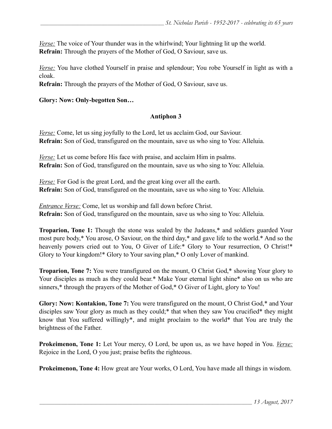*Verse:* The voice of Your thunder was in the whirlwind; Your lightning lit up the world. **Refrain:** Through the prayers of the Mother of God, O Saviour, save us.

*Verse:* You have clothed Yourself in praise and splendour; You robe Yourself in light as with a cloak.

**Refrain:** Through the prayers of the Mother of God, O Saviour, save us.

### **Glory: Now: Only-begotten Son…**

## **Antiphon 3**

*Verse:* Come, let us sing joyfully to the Lord, let us acclaim God, our Saviour. **Refrain:** Son of God, transfigured on the mountain, save us who sing to You: Alleluia.

*Verse:* Let us come before His face with praise, and acclaim Him in psalms. **Refrain:** Son of God, transfigured on the mountain, save us who sing to You: Alleluia.

*Verse:* For God is the great Lord, and the great king over all the earth. **Refrain:** Son of God, transfigured on the mountain, save us who sing to You: Alleluia.

*Entrance Verse:* Come, let us worship and fall down before Christ. **Refrain:** Son of God, transfigured on the mountain, save us who sing to You: Alleluia.

**Troparion, Tone 1:** Though the stone was sealed by the Judeans,\* and soldiers guarded Your most pure body,\* You arose, O Saviour, on the third day,\* and gave life to the world.\* And so the heavenly powers cried out to You, O Giver of Life:\* Glory to Your resurrection, O Christ!\* Glory to Your kingdom!\* Glory to Your saving plan,\* O only Lover of mankind.

**Troparion, Tone 7:** You were transfigured on the mount, O Christ God,\* showing Your glory to Your disciples as much as they could bear.\* Make Your eternal light shine\* also on us who are sinners,\* through the prayers of the Mother of God,\* O Giver of Light, glory to You!

**Glory: Now: Kontakion, Tone 7:** You were transfigured on the mount, O Christ God,\* and Your disciples saw Your glory as much as they could;\* that when they saw You crucified\* they might know that You suffered willingly\*, and might proclaim to the world\* that You are truly the brightness of the Father.

**Prokeimenon, Tone 1:** Let Your mercy, O Lord, be upon us, as we have hoped in You. *Verse:* Rejoice in the Lord, O you just; praise befits the righteous.

**Prokeimenon, Tone 4:** How great are Your works, O Lord, You have made all things in wisdom.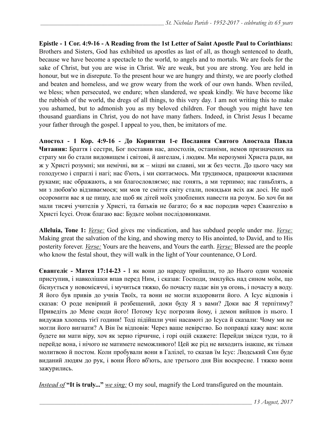**Epistle - 1 Cor. 4:9-16 - A Reading from the 1st Letter of Saint Apostle Paul to Corinthians:** Brothers and Sisters, God has exhibited us apostles as last of all, as though sentenced to death, because we have become a spectacle to the world, to angels and to mortals. We are fools for the sake of Christ, but you are wise in Christ. We are weak, but you are strong. You are held in honour, but we in disrepute. To the present hour we are hungry and thirsty, we are poorly clothed and beaten and homeless, and we grow weary from the work of our own hands. When reviled, we bless; when persecuted, we endure; when slandered, we speak kindly. We have become like the rubbish of the world, the dregs of all things, to this very day. I am not writing this to make you ashamed, but to admonish you as my beloved children. For though you might have ten thousand guardians in Christ, you do not have many fathers. Indeed, in Christ Jesus I became your father through the gospel. I appeal to you, then, be imitators of me.

**Апостол - 1 Кор. 4:9-16 - До Коринтян 1-e Послання Святого Апостола Павла Читання:** Браття і сестри, Бог поставив нас, апостолів, останніми, немов призначених на страту ми бо стали видовищем і світові, й ангелам, і людям. Ми нерозумні Христа ради, ви ж у Христі розумні; ми немічні, ви ж – міцні ви славні, ми ж без чести. До цього часу ми голодуємо і спраглі і нагі; нас б'ють, і ми скитаємось. Ми трудимося, працюючи власними руками; нас ображають, а ми благословляємо; нас гонять, а ми терпимо; нас ганьблять, а ми з любов'ю відзиваємося; ми мов те сміття світу стали, покидьки всіх аж досі. Не щоб осоромити вас я це пишу, але щоб як дітей моїх улюблених навести на розум. Бо хоч би ви мали тисячі учителів у Христі, та батьків не багато; бо я вас породив через Євангелію в Христі Ісусі. Отож благаю вас: Будьте моїми послідовниками.

**Alleluia, Tone 1:** *Verse:* God gives me vindication, and has subdued people under me. *Verse:* Making great the salvation of the king, and showing mercy to His anointed, to David, and to His posterity forever. *Verse:* Yours are the heavens, and Yours the earth. *Verse:* Blessed are the people who know the festal shout, they will walk in the light of Your countenance, O Lord.

**Євангеліє - Матея 17:14-23 -** І як вони до народу прийшли, то до Нього один чоловік приступив, і навколішки впав перед Ним, і сказав: Господи, змилуйсь над сином моїм, що біснується у новомісяччі, і мучиться тяжко, бо почасту падає він ув огонь, і почасту в воду. Я його був привів до учнів Твоїх, та вони не могли вздоровити його. А Ісус відповів і сказав: О роде невірний й розбещений, доки буду Я з вами? Доки вас Я терпітиму? Приведіть до Мене сюди його! Потому Ісус погрозив йому, і демон вийшов із нього. І видужав хлопець тієї години! Тоді підійшли учні насамоті до Ісуса й сказали: Чому ми не могли його вигнати? А Він їм відповів: Через ваше невірство. Бо поправді кажу вам: коли будете ви мати віру, хоч як зерно гірчичне, і горі оцій скажете: Перейди звідси туди, то й перейде вона, і нічого не матимете неможливого! Цей же рід не виходить інакше, як тільки молитвою й постом. Коли пробували вони в Галілеї, то сказав їм Ісус: Людський Син буде виданий людям до рук, і вони Його вб'ють, але третього дня Він воскресне. І тяжко вони зажурились.

*Instead of* **"It is truly..."** *we sing:* O my soul, magnify the Lord transfigured on the mountain.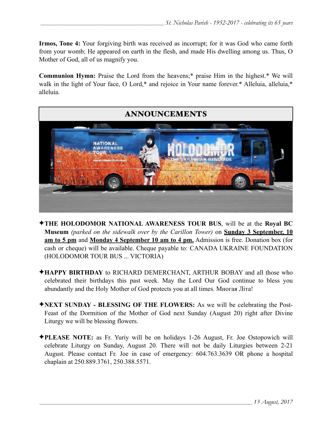**Irmos, Tone 4:** Your forgiving birth was received as incorrupt; for it was God who came forth from your womb; He appeared on earth in the flesh, and made His dwelling among us. Thus, O Mother of God, all of us magnify you.

**Communion Hymn:** Praise the Lord from the heavens;\* praise Him in the highest.\* We will walk in the light of Your face, O Lord,\* and rejoice in Your name forever.\* Alleluia, alleluia,\* alleluia.



- ✦**THE HOLODOMOR NATIONAL AWARENESS TOUR BUS**, will be at the **Royal BC Museum** *(parked on the sidewalk over by the Carillon Tower)* on **Sunday 3 September, 10 am to 5 pm** and **Monday 4 September 10 am to 4 pm.** Admission is free. Donation box (for cash or cheque) will be available. Cheque payable to: CANADA UKRAINE FOUNDATION (HOLODOMOR TOUR BUS ... VICTORIA)
- ✦**HAPPY BIRTHDAY** to RICHARD DEMERCHANT, ARTHUR BOBAY and all those who celebrated their birthdays this past week. May the Lord Our God continue to bless you abundantly and the Holy Mother of God protects you at all times. Многая Літа!
- ✦**NEXT SUNDAY BLESSING OF THE FLOWERS:** As we will be celebrating the Post-Feast of the Dormition of the Mother of God next Sunday (August 20) right after Divine Liturgy we will be blessing flowers.
- ✦**PLEASE NOTE:** as Fr. Yuriy will be on holidays 1-26 August, Fr. Joe Ostopowich will celebrate Liturgy on Sunday, August 20. There will not be daily Liturgies between 2-21 August. Please contact Fr. Joe in case of emergency: 604.763.3639 OR phone a hospital chaplain at 250.889.3761, 250.388.5571.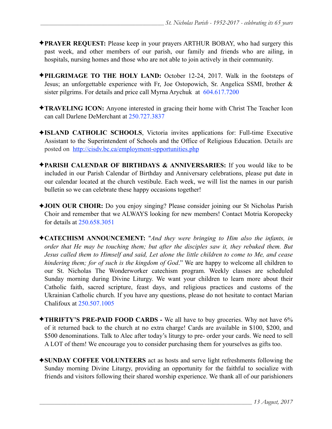- ✦**PRAYER REQUEST:** Please keep in your prayers ARTHUR BOBAY, who had surgery this past week, and other members of our parish, our family and friends who are ailing, in hospitals, nursing homes and those who are not able to join actively in their community.
- ✦**PILGRIMAGE TO THE HOLY LAND:** October 12-24, 2017. Walk in the footsteps of Jesus; an unforgettable experience with Fr, Joe Ostopowich, Sr. Angelica SSMI, brother & sister pilgrims. For details and price call Myrna Arychuk at 604.617.7200
- ✦**TRAVELING ICON:** Anyone interested in gracing their home with Christ The Teacher Icon can call Darlene DeMerchant at 250.727.3837
- ✦**ISLAND CATHOLIC SCHOOLS**, Victoria invites applications for: Full-time Executive Assistant to the Superintendent of Schools and the Office of Religious Education. Details are posted on <http://cisdv.bc.ca/employment-opportunities.php>
- ✦**PARISH CALENDAR OF BIRTHDAYS & ANNIVERSARIES:** If you would like to be included in our Parish Calendar of Birthday and Anniversary celebrations, please put date in our calendar located at the church vestibule. Each week, we will list the names in our parish bulletin so we can celebrate these happy occasions together!
- ✦**JOIN OUR CHOIR:** Do you enjoy singing? Please consider joining our St Nicholas Parish Choir and remember that we ALWAYS looking for new members! Contact Motria Koropecky for details at 250.658.3051
- ✦**CATECHISM ANNOUNCEMENT:** "*And they were bringing to Him also the infants, in order that He may be touching them; but after the disciples saw it, they rebuked them. But Jesus called them to Himself and said, Let alone the little children to come to Me, and cease hindering them; for of such is the kingdom of God*." We are happy to welcome all children to our St. Nicholas The Wonderworker catechism program. Weekly classes are scheduled Sunday morning during Divine Liturgy. We want your children to learn more about their Catholic faith, sacred scripture, feast days, and religious practices and customs of the Ukrainian Catholic church. If you have any questions, please do not hesitate to contact Marian Chalifoux at 250.507.1005
- ✦**THRIFTY'S PRE-PAID FOOD CARDS** We all have to buy groceries. Why not have 6% of it returned back to the church at no extra charge! Cards are available in \$100, \$200, and \$500 denominations. Talk to Alec after today's liturgy to pre- order your cards. We need to sell A LOT of them! We encourage you to consider purchasing them for yourselves as gifts too.
- ✦**SUNDAY COFFEE VOLUNTEERS** act as hosts and serve light refreshments following the Sunday morning Divine Liturgy, providing an opportunity for the faithful to socialize with friends and visitors following their shared worship experience. We thank all of our parishioners